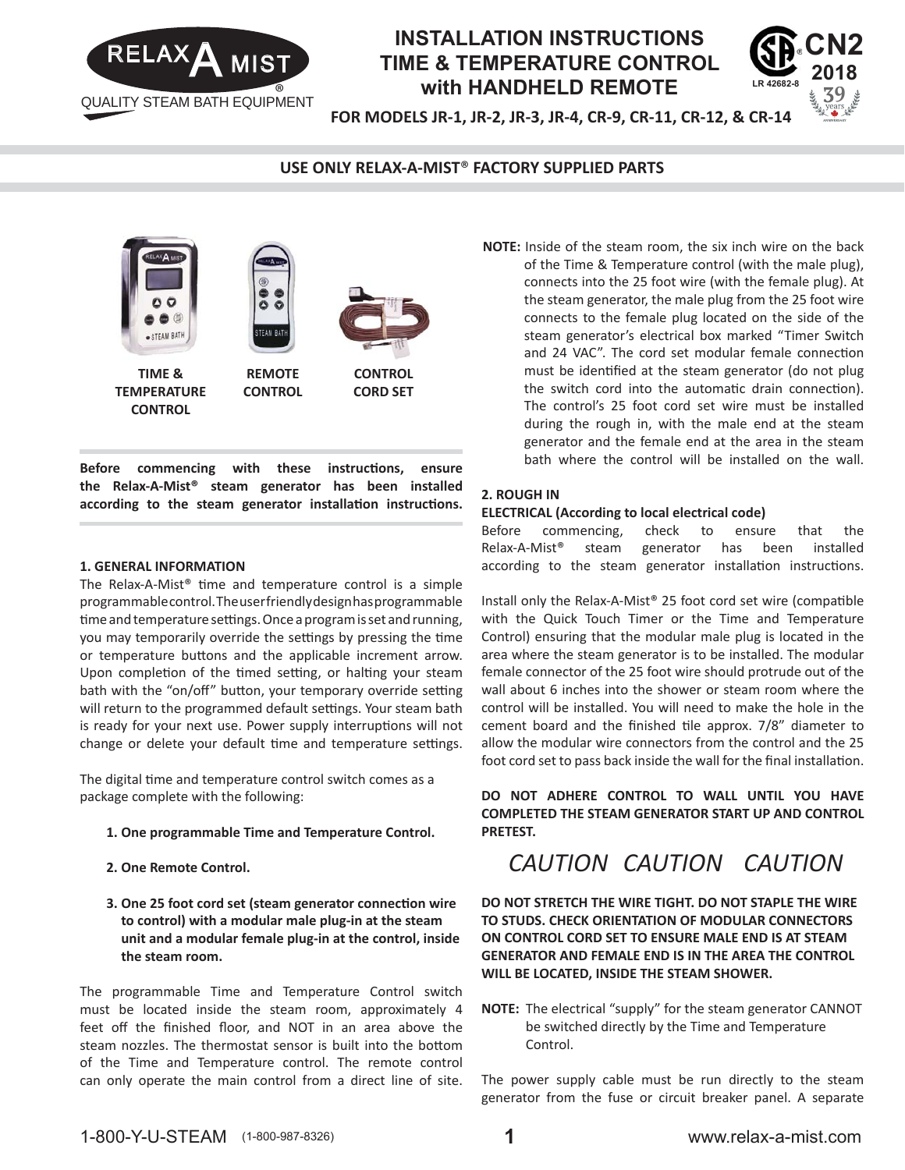

## **INSTALLATION INSTRUCTIONS TIME & TEMPERATURE CONTROL with HANDHELD REMOTE**



**FOR MODELS JR-1, JR-2, JR-3, JR-4, CR-9, CR-11, CR-12, & CR-14**

### **USE ONLY RELAX-A-MIST**® **FACTORY SUPPLIED PARTS**



**Before commencing with these instructions, ensure the Relax-A-Mist® steam generator has been installed**  according to the steam generator installation instructions.

#### **1. GENERAL INFORMATION**

The Relax-A-Mist<sup>®</sup> time and temperature control is a simple programmable control. The user friendly design has programmable time and temperature settings. Once a program is set and running, you may temporarily override the settings by pressing the time or temperature buttons and the applicable increment arrow. Upon completion of the timed setting, or halting your steam bath with the "on/off" button, your temporary override setting will return to the programmed default settings. Your steam bath is ready for your next use. Power supply interruptions will not change or delete your default time and temperature settings.

The digital time and temperature control switch comes as a package complete with the following:

- **1. One programmable Time and Temperature Control.**
- **2. One Remote Control.**
- **3. One 25 foot cord set (steam generator connection wire to control) with a modular male plug-in at the steam unit and a modular female plug-in at the control, inside the steam room.**

The programmable Time and Temperature Control switch must be located inside the steam room, approximately 4 feet off the finished floor, and NOT in an area above the steam nozzles. The thermostat sensor is built into the bottom of the Time and Temperature control. The remote control can only operate the main control from a direct line of site.

**NOTE:** Inside of the steam room, the six inch wire on the back of the Time & Temperature control (with the male plug), connects into the 25 foot wire (with the female plug). At the steam generator, the male plug from the 25 foot wire connects to the female plug located on the side of the steam generator's electrical box marked "Timer Switch and 24 VAC". The cord set modular female connection must be identified at the steam generator (do not plug the switch cord into the automatic drain connection). The control's 25 foot cord set wire must be installed during the rough in, with the male end at the steam generator and the female end at the area in the steam bath where the control will be installed on the wall.

#### **2. ROUGH IN**

#### **ELECTRICAL (According to local electrical code)**

Before commencing, check to ensure that the Relax-A-Mist® steam generator has been installed according to the steam generator installation instructions.

Install only the Relax-A-Mist® 25 foot cord set wire (compatible with the Quick Touch Timer or the Time and Temperature Control) ensuring that the modular male plug is located in the area where the steam generator is to be installed. The modular female connector of the 25 foot wire should protrude out of the wall about 6 inches into the shower or steam room where the control will be installed. You will need to make the hole in the cement board and the finished tile approx. 7/8" diameter to allow the modular wire connectors from the control and the 25 foot cord set to pass back inside the wall for the final installation.

**DO NOT ADHERE CONTROL TO WALL UNTIL YOU HAVE COMPLETED THE STEAM GENERATOR START UP AND CONTROL PRETEST.** 

### *CAUTION CAUTION CAUTION*

**DO NOT STRETCH THE WIRE TIGHT. DO NOT STAPLE THE WIRE TO STUDS. CHECK ORIENTATION OF MODULAR CONNECTORS ON CONTROL CORD SET TO ENSURE MALE END IS AT STEAM GENERATOR AND FEMALE END IS IN THE AREA THE CONTROL WILL BE LOCATED, INSIDE THE STEAM SHOWER.**

**NOTE:** The electrical "supply" for the steam generator CANNOT be switched directly by the Time and Temperature Control.

The power supply cable must be run directly to the steam generator from the fuse or circuit breaker panel. A separate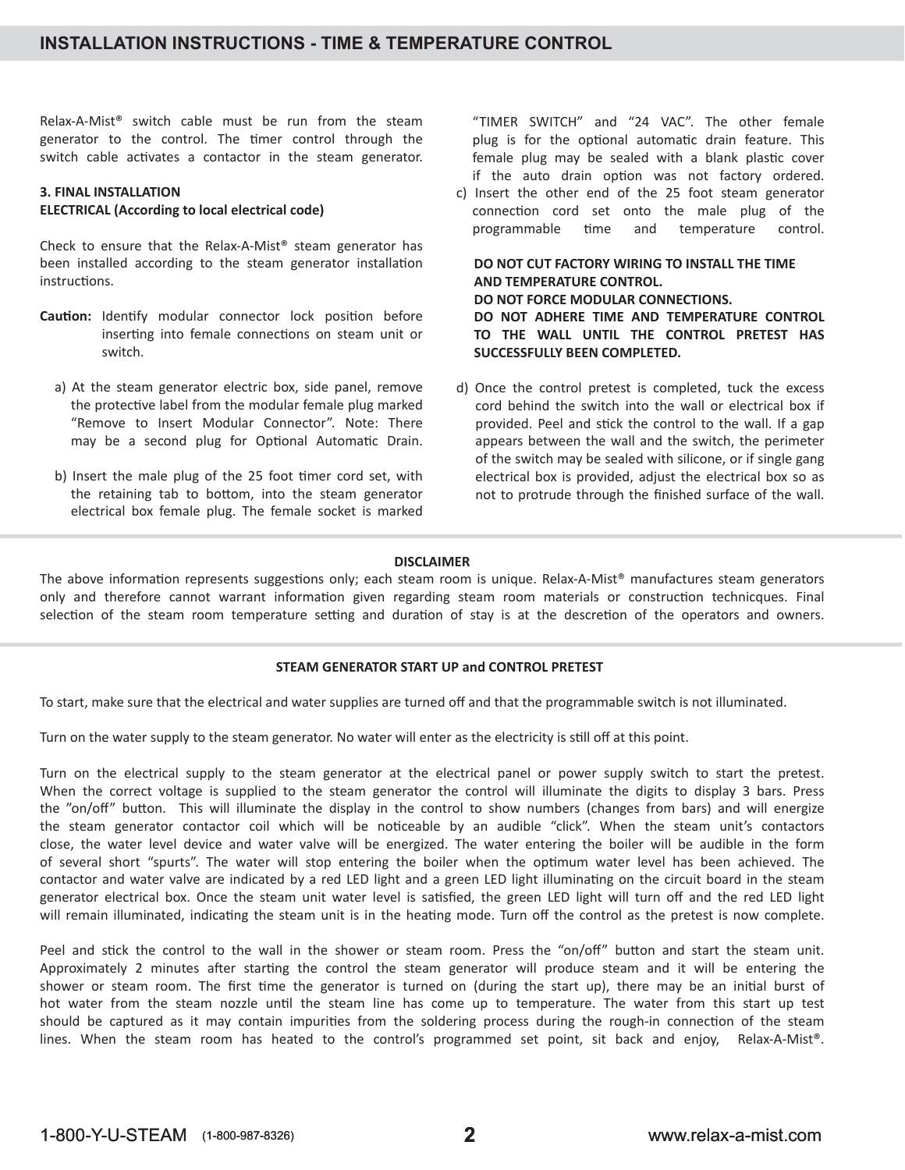Relax-A-Mist® switch cable must be run from the steam generator to the control. The timer control through the switch cable activates a contactor in the steam generator.

#### **3. FINAL INSTALLATION ELECTRICAL (According to local electrical code)**

Check to ensure that the Relax-A-Mist® steam generator has been installed according to the steam generator installation instructions.

- Caution: Identify modular connector lock position before inserting into female connections on steam unit or switch.
	- a) At the steam generator electric box, side panel, remove the protective label from the modular female plug marked "Remove to Insert Modular Connector". Note: There may be a second plug for Optional Automatic Drain.
	- b) Insert the male plug of the 25 foot timer cord set, with the retaining tab to bottom, into the steam generator electrical box female plug. The female socket is marked

"TIMER SWITCH" and "24 VAC". The other female plug is for the optional automatic drain feature. This female plug may be sealed with a blank plastic cover if the auto drain option was not factory ordered.

c) Insert the other end of the 25 foot steam generator connection cord set onto the male plug of the programmable time and temperature control.

#### **DO NOT CUT FACTORY WIRING TO INSTALL THE TIME AND TEMPERATURE CONTROL. DO NOT FORCE MODULAR CONNECTIONS.**

**DO NOT ADHERE TIME AND TEMPERATURE CONTROL TO THE WALL UNTIL THE CONTROL PRETEST HAS SUCCESSFULLY BEEN COMPLETED.**

d) Once the control pretest is completed, tuck the excess cord behind the switch into the wall or electrical box if provided. Peel and stick the control to the wall. If a gap appears between the wall and the switch, the perimeter of the switch may be sealed with silicone, or if single gang electrical box is provided, adjust the electrical box so as not to protrude through the finished surface of the wall.

### **DISCLAIMER**

The above information represents suggestions only; each steam room is unique. Relax-A-Mist® manufactures steam generators only and therefore cannot warrant information given regarding steam room materials or construction technicques. Final selection of the steam room temperature setting and duration of stay is at the descretion of the operators and owners.

#### **STEAM GENERATOR START UP and CONTROL PRETEST**

To start, make sure that the electrical and water supplies are turned off and that the programmable switch is not illuminated.

Turn on the water supply to the steam generator. No water will enter as the electricity is still off at this point.

Turn on the electrical supply to the steam generator at the electrical panel or power supply switch to start the pretest. When the correct voltage is supplied to the steam generator the control will illuminate the digits to display 3 bars. Press the "on/off" button. This will illuminate the display in the control to show numbers (changes from bars) and will energize the steam generator contactor coil which will be noticeable by an audible "click". When the steam unit's contactors close, the water level device and water valve will be energized. The water entering the boiler will be audible in the form of several short "spurts". The water will stop entering the boiler when the optimum water level has been achieved. The contactor and water valve are indicated by a red LED light and a green LED light illuminating on the circuit board in the steam generator electrical box. Once the steam unit water level is satisfied, the green LED light will turn off and the red LED light will remain illuminated, indicating the steam unit is in the heating mode. Turn off the control as the pretest is now complete.

Peel and stick the control to the wall in the shower or steam room. Press the "on/off" button and start the steam unit. Approximately 2 minutes after starting the control the steam generator will produce steam and it will be entering the shower or steam room. The first time the generator is turned on (during the start up), there may be an initial burst of hot water from the steam nozzle until the steam line has come up to temperature. The water from this start up test should be captured as it may contain impurities from the soldering process during the rough-in connection of the steam lines. When the steam room has heated to the control's programmed set point, sit back and enjoy, Relax-A-Mist®.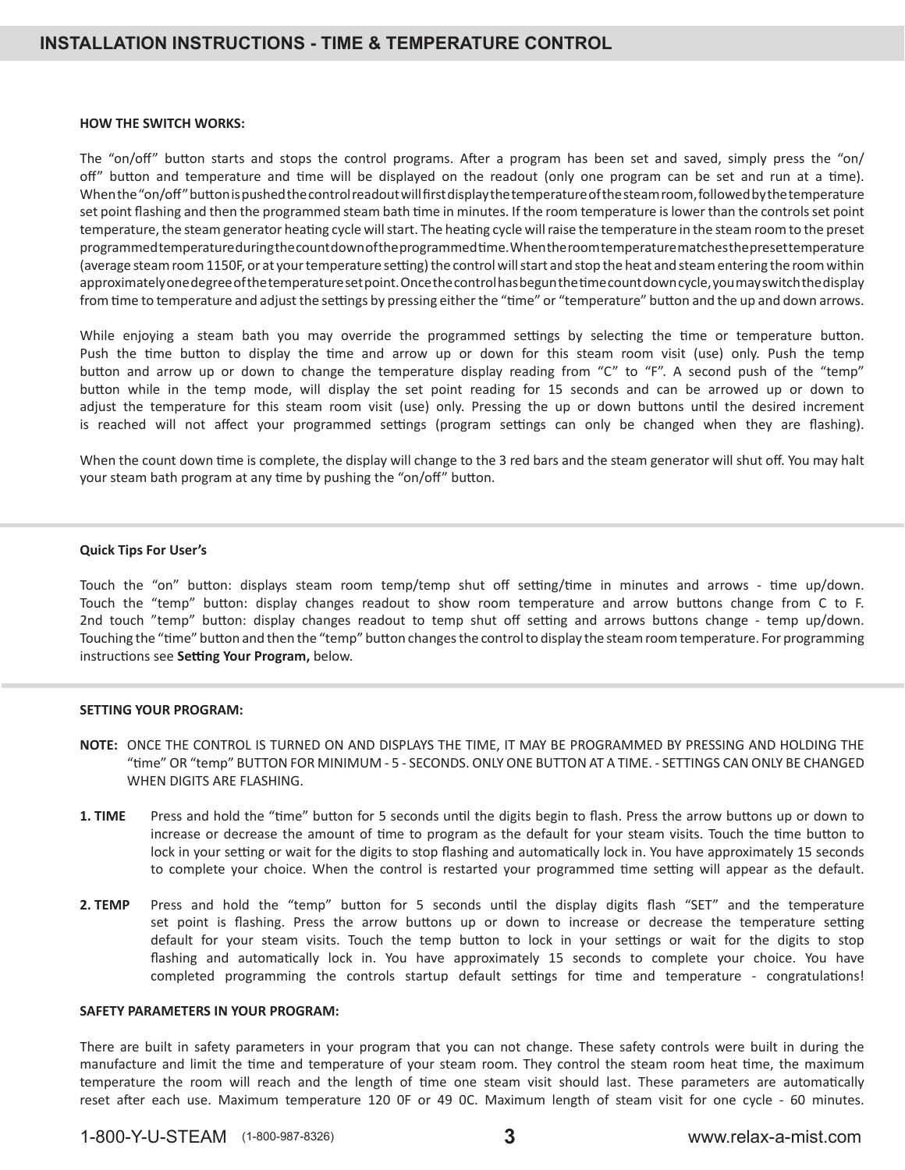#### **HOW THE SWITCH WORKS:**

The "on/off" button starts and stops the control programs. After a program has been set and saved, simply press the "on/ off" button and temperature and time will be displayed on the readout (only one program can be set and run at a time). When the "on/off" button is pushed the control readout will first display the temperature of the steam room, followed by the temperature set point flashing and then the programmed steam bath time in minutes. If the room temperature is lower than the controls set point temperature, the steam generator heating cycle will start. The heating cycle will raise the temperature in the steam room to the preset programmed temperature during the count down of the programmed time. When the room temperature matches the preset temperature (average steam room 1150F, or at your temperature setting) the control will start and stop the heat and steam entering the room within approximately one degree of the temperature set point. Once the control has begun the time count down cycle, you may switch the display from time to temperature and adjust the settings by pressing either the "time" or "temperature" button and the up and down arrows.

While enjoying a steam bath you may override the programmed settings by selecting the time or temperature button. Push the time button to display the time and arrow up or down for this steam room visit (use) only. Push the temp button and arrow up or down to change the temperature display reading from "C" to "F". A second push of the "temp" button while in the temp mode, will display the set point reading for 15 seconds and can be arrowed up or down to adjust the temperature for this steam room visit (use) only. Pressing the up or down buttons until the desired increment is reached will not affect your programmed settings (program settings can only be changed when they are flashing).

When the count down time is complete, the display will change to the 3 red bars and the steam generator will shut off. You may halt your steam bath program at any time by pushing the "on/off" button.

#### **Quick Tips For User's**

Touch the "on" button: displays steam room temp/temp shut off setting/time in minutes and arrows - time up/down. Touch the "temp" button: display changes readout to show room temperature and arrow buttons change from C to F. 2nd touch "temp" button: display changes readout to temp shut off setting and arrows buttons change - temp up/down. Touching the "time" button and then the "temp" button changes the control to display the steam room temperature. For programming instructions see Setting Your Program, below.

#### **SETTING YOUR PROGRAM:**

- **NOTE:** ONCE THE CONTROL IS TURNED ON AND DISPLAYS THE TIME, IT MAY BE PROGRAMMED BY PRESSING AND HOLDING THE "Ɵ me" OR "temp" BUTTON FOR MINIMUM - 5 - SECONDS. ONLY ONE BUTTON AT A TIME. - SETTINGS CAN ONLY BE CHANGED WHEN DIGITS ARE FLASHING.
- **1. TIME** Press and hold the "time" button for 5 seconds until the digits begin to flash. Press the arrow buttons up or down to increase or decrease the amount of time to program as the default for your steam visits. Touch the time button to lock in your setting or wait for the digits to stop flashing and automatically lock in. You have approximately 15 seconds to complete your choice. When the control is restarted your programmed time setting will appear as the default.
- **2. TEMP** Press and hold the "temp" button for 5 seconds until the display digits flash "SET" and the temperature set point is flashing. Press the arrow buttons up or down to increase or decrease the temperature setting default for your steam visits. Touch the temp button to lock in your settings or wait for the digits to stop flashing and automatically lock in. You have approximately 15 seconds to complete your choice. You have completed programming the controls startup default settings for time and temperature - congratulations!

#### **SAFETY PARAMETERS IN YOUR PROGRAM:**

There are built in safety parameters in your program that you can not change. These safety controls were built in during the manufacture and limit the time and temperature of your steam room. They control the steam room heat time, the maximum temperature the room will reach and the length of time one steam visit should last. These parameters are automatically reset after each use. Maximum temperature 120 OF or 49 OC. Maximum length of steam visit for one cycle - 60 minutes.